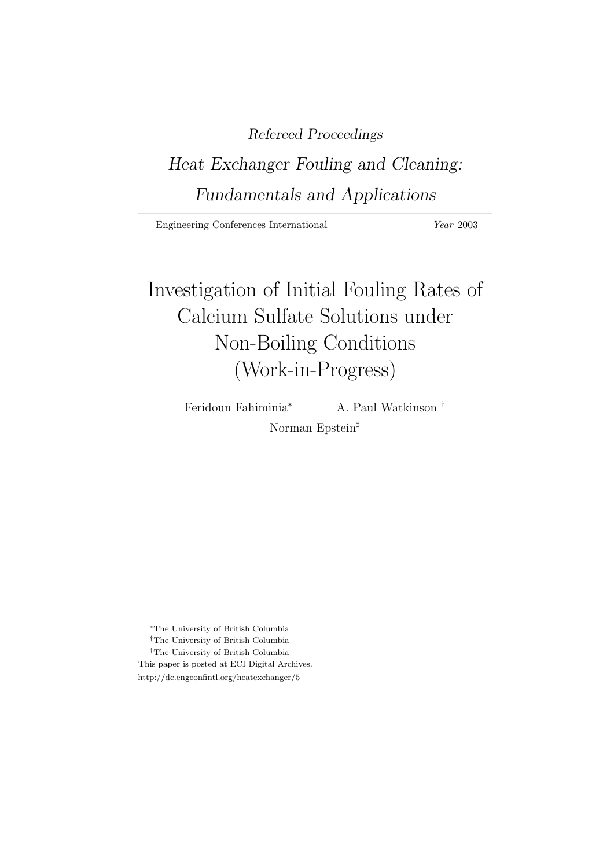# Refereed Proceedings

# Heat Exchanger Fouling and Cleaning: Fundamentals and Applications

Engineering Conferences International *Year* 2003

# Investigation of Initial Fouling Rates of Calcium Sulfate Solutions under Non-Boiling Conditions (Work-in-Progress)

Feridoun Fahiminia<sup>∗</sup> A. Paul Watkinson † Norman Epstein‡

<sup>∗</sup>The University of British Columbia †The University of British Columbia  $^\ddag$  The University of British Columbia This paper is posted at ECI Digital Archives. http://dc.engconfintl.org/heatexchanger/5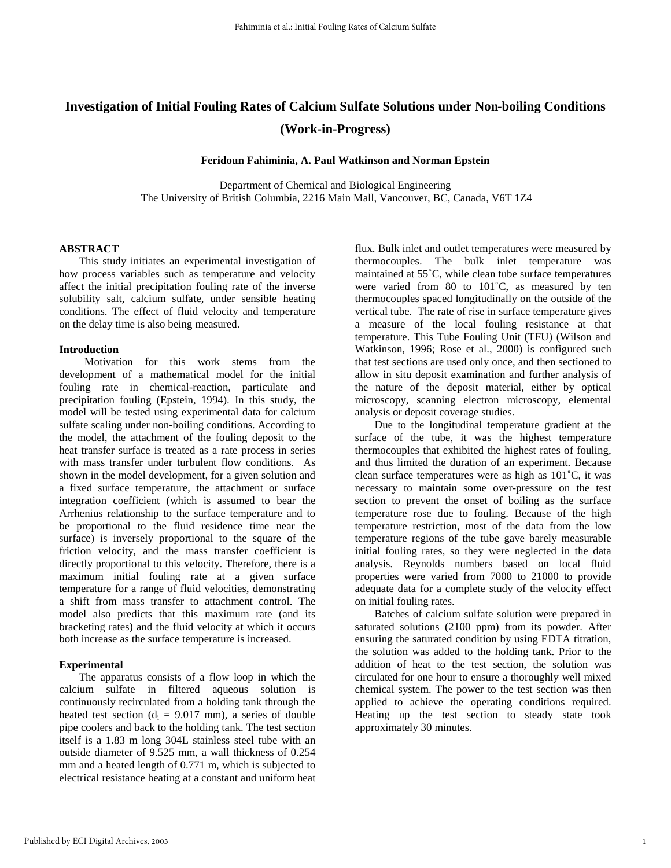# **Investigation of Initial Fouling Rates of Calcium Sulfate Solutions under Non-boiling Conditions (Work-in-Progress)**

**Feridoun Fahiminia, A. Paul Watkinson and Norman Epstein**

Department of Chemical and Biological Engineering The University of British Columbia, 2216 Main Mall, Vancouver, BC, Canada, V6T 1Z4

### **ABSTRACT**

This study initiates an experimental investigation of how process variables such as temperature and velocity affect the initial precipitation fouling rate of the inverse solubility salt, calcium sulfate, under sensible heating conditions. The effect of fluid velocity and temperature on the delay time is also being measured.

### **Introduction**

 Motivation for this work stems from the development of a mathematical model for the initial fouling rate in chemical-reaction, particulate and precipitation fouling (Epstein, 1994). In this study, the model will be tested using experimental data for calcium sulfate scaling under non-boiling conditions. According to the model, the attachment of the fouling deposit to the heat transfer surface is treated as a rate process in series with mass transfer under turbulent flow conditions. As shown in the model development, for a given solution and a fixed surface temperature, the attachment or surface integration coefficient (which is assumed to bear the Arrhenius relationship to the surface temperature and to be proportional to the fluid residence time near the surface) is inversely proportional to the square of the friction velocity, and the mass transfer coefficient is directly proportional to this velocity. Therefore, there is a maximum initial fouling rate at a given surface temperature for a range of fluid velocities, demonstrating a shift from mass transfer to attachment control. The model also predicts that this maximum rate (and its bracketing rates) and the fluid velocity at which it occurs both increase as the surface temperature is increased.

## **Experimental**

The apparatus consists of a flow loop in which the calcium sulfate in filtered aqueous solution is continuously recirculated from a holding tank through the heated test section ( $d_i = 9.017$  mm), a series of double pipe coolers and back to the holding tank. The test section itself is a 1.83 m long 304L stainless steel tube with an outside diameter of 9.525 mm, a wall thickness of 0.254 mm and a heated length of 0.771 m, which is subjected to electrical resistance heating at a constant and uniform heat

flux. Bulk inlet and outlet temperatures were measured by thermocouples. The bulk inlet temperature was maintained at 55˚C, while clean tube surface temperatures were varied from 80 to 101˚C, as measured by ten thermocouples spaced longitudinally on the outside of the vertical tube. The rate of rise in surface temperature gives a measure of the local fouling resistance at that temperature. This Tube Fouling Unit (TFU) (Wilson and Watkinson, 1996; Rose et al., 2000) is configured such that test sections are used only once, and then sectioned to allow in situ deposit examination and further analysis of the nature of the deposit material, either by optical microscopy, scanning electron microscopy, elemental analysis or deposit coverage studies.

Due to the longitudinal temperature gradient at the surface of the tube, it was the highest temperature thermocouples that exhibited the highest rates of fouling, and thus limited the duration of an experiment. Because clean surface temperatures were as high as 101˚C, it was necessary to maintain some over-pressure on the test section to prevent the onset of boiling as the surface temperature rose due to fouling. Because of the high temperature restriction, most of the data from the low temperature regions of the tube gave barely measurable initial fouling rates, so they were neglected in the data analysis. Reynolds numbers based on local fluid properties were varied from 7000 to 21000 to provide adequate data for a complete study of the velocity effect on initial fouling rates.

Batches of calcium sulfate solution were prepared in saturated solutions (2100 ppm) from its powder. After ensuring the saturated condition by using EDTA titration, the solution was added to the holding tank. Prior to the addition of heat to the test section, the solution was circulated for one hour to ensure a thoroughly well mixed chemical system. The power to the test section was then applied to achieve the operating conditions required. Heating up the test section to steady state took approximately 30 minutes.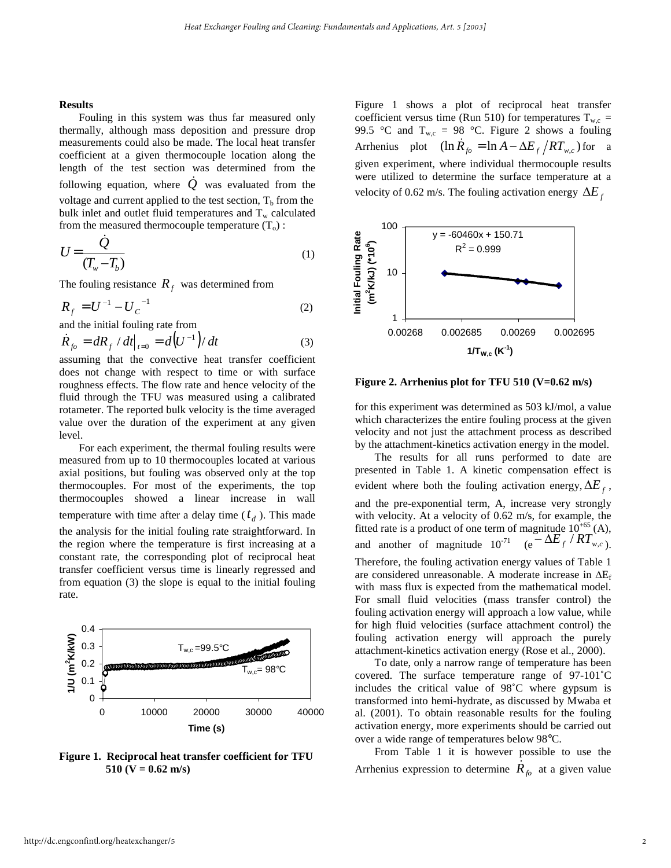#### **Results**

Fouling in this system was thus far measured only thermally, although mass deposition and pressure drop measurements could also be made. The local heat transfer coefficient at a given thermocouple location along the length of the test section was determined from the following equation, where *Q* was evaluated from the voltage and current applied to the test section,  $T<sub>b</sub>$  from the bulk inlet and outlet fluid temperatures and  $T_w$  calculated from the measured thermocouple temperature  $(T_0)$ :

$$
U = \frac{\dot{Q}}{(T_w - T_b)}\tag{1}
$$

The fouling resistance  $R_f$  was determined from

$$
R_f = U^{-1} - U_C^{-1}
$$
 (2)

and the initial fouling rate from

$$
\dot{R}_{f0} = dR_f / dt \big|_{t=0} = d \big( U^{-1} \big) / dt \tag{3}
$$

assuming that the convective heat transfer coefficient does not change with respect to time or with surface roughness effects. The flow rate and hence velocity of the fluid through the TFU was measured using a calibrated rotameter. The reported bulk velocity is the time averaged value over the duration of the experiment at any given level.

For each experiment, the thermal fouling results were measured from up to 10 thermocouples located at various axial positions, but fouling was observed only at the top thermocouples. For most of the experiments, the top thermocouples showed a linear increase in wall temperature with time after a delay time  $(t_d)$ . This made the analysis for the initial fouling rate straightforward. In the region where the temperature is first increasing at a constant rate, the corresponding plot of reciprocal heat transfer coefficient versus time is linearly regressed and from equation (3) the slope is equal to the initial fouling rate.



**Figure 1. Reciprocal heat transfer coefficient for TFU 510 (V = 0.62 m/s)** 

Figure 1 shows a plot of reciprocal heat transfer coefficient versus time (Run 510) for temperatures  $T_{wc}$  = 99.5 °C and  $T_{w,c} = 98$  °C. Figure 2 shows a fouling Arrhenius plot  $(\ln R_{fo} = \ln A - \Delta E_f / RT_{w.c})$  for a given experiment, where individual thermocouple results were utilized to determine the surface temperature at a velocity of 0.62 m/s. The fouling activation energy  $\Delta E_f$ 



**Figure 2. Arrhenius plot for TFU 510 (V=0.62 m/s)**

for this experiment was determined as 503 kJ/mol, a value which characterizes the entire fouling process at the given velocity and not just the attachment process as described by the attachment-kinetics activation energy in the model.

The results for all runs performed to date are presented in Table 1. A kinetic compensation effect is evident where both the fouling activation energy,  $\Delta E_f$ , and the pre-exponential term, A, increase very strongly with velocity. At a velocity of 0.62 m/s, for example, the fitted rate is a product of one term of magnitude  $10^{+65}$  (A), and another of magnitude  $10^{-71}$  (e  $\Delta E_f / RT_{w,c}$ ).

Therefore, the fouling activation energy values of Table 1 are considered unreasonable. A moderate increase in  $\Delta E_f$ with mass flux is expected from the mathematical model. For small fluid velocities (mass transfer control) the fouling activation energy will approach a low value, while for high fluid velocities (surface attachment control) the fouling activation energy will approach the purely attachment-kinetics activation energy (Rose et al., 2000).

To date, only a narrow range of temperature has been covered. The surface temperature range of 97-101˚C includes the critical value of 98˚C where gypsum is transformed into hemi-hydrate, as discussed by Mwaba et al. (2001). To obtain reasonable results for the fouling activation energy, more experiments should be carried out over a wide range of temperatures below 98°C.

From Table 1 it is however possible to use the Arrhenius expression to determine  $\dot{R}_{fo}$  at a given value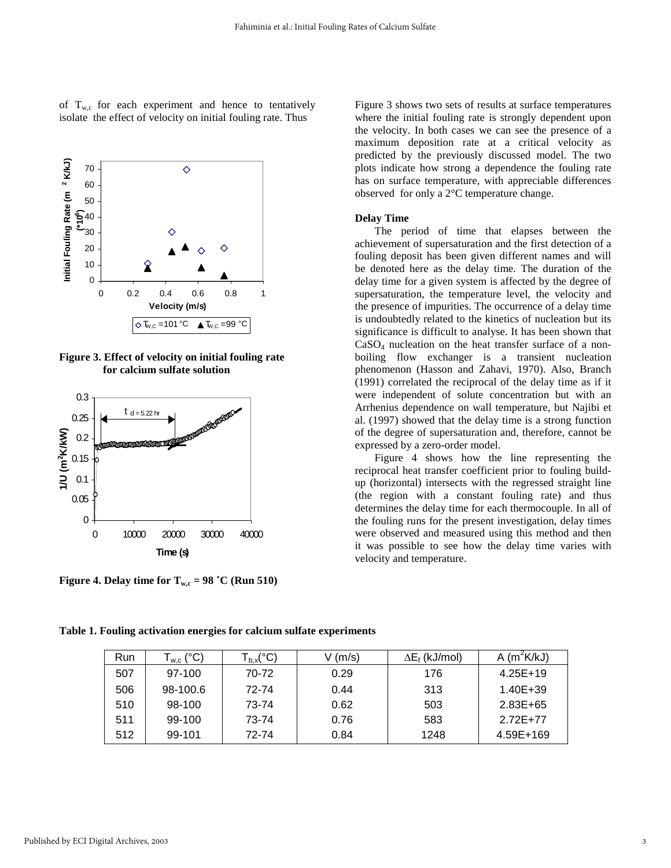of  $T_{w,c}$  for each experiment and hence to tentatively isolate the effect of velocity on initial fouling rate. Thus



**Figure 3. Effect of velocity on initial fouling rate for calcium sulfate solution**



**Figure 4. Delay time for**  $T_{wc} = 98 \text{ °C}$  **(Run 510)** 

Figure 3 shows two sets of results at surface temperatures where the initial fouling rate is strongly dependent upon the velocity. In both cases we can see the presence of a maximum deposition rate at a critical velocity as predicted by the previously discussed model. The two plots indicate how strong a dependence the fouling rate has on surface temperature, with appreciable differences observed for only a 2°C temperature change.

# **Delay Time**

The period of time that elapses between the achievement of supersaturation and the first detection of a fouling deposit has been given different names and will be denoted here as the delay time. The duration of the delay time for a given system is affected by the degree of supersaturation, the temperature level, the velocity and the presence of impurities. The occurrence of a delay time is undoubtedly related to the kinetics of nucleation but its significance is difficult to analyse. It has been shown that  $CaSO<sub>4</sub>$  nucleation on the heat transfer surface of a nonboiling flow exchanger is a transient nucleation phenomenon (Hasson and Zahavi, 1970). Also, Branch (1991) correlated the reciprocal of the delay time as if it were independent of solute concentration but with an Arrhenius dependence on wall temperature, but Najibi et al. (1997) showed that the delay time is a strong function of the degree of supersaturation and, therefore, cannot be expressed by a zero-order model.

Figure 4 shows how the line representing the reciprocal heat transfer coefficient prior to fouling buildup (horizontal) intersects with the regressed straight line (the region with a constant fouling rate) and thus determines the delay time for each thermocouple. In all of the fouling runs for the present investigation, delay times were observed and measured using this method and then it was possible to see how the delay time varies with velocity and temperature.

| Run | $\mathsf{L}_{\mathsf{w},\mathsf{c}}\left( \mathsf{^{\circ} C}\right)$ | $T_{b,x} ({}^{\circ}C)$ | V (m/s) | $\Delta E_f$ (kJ/mol) | A $(m^2K/kJ)$ |
|-----|-----------------------------------------------------------------------|-------------------------|---------|-----------------------|---------------|
| 507 | 97-100                                                                | 70-72                   | 0.29    | 176                   | $4.25E+19$    |
| 506 | 98-100.6                                                              | 72-74                   | 0.44    | 313                   | $1.40E + 39$  |
| 510 | 98-100                                                                | 73-74                   | 0.62    | 503                   | $2.83E + 65$  |
| 511 | 99-100                                                                | 73-74                   | 0.76    | 583                   | 2.72E+77      |
| 512 | 99-101                                                                | 72-74                   | 0.84    | 1248                  | 4.59E+169     |

**Table 1. Fouling activation energies for calcium sulfate experiments**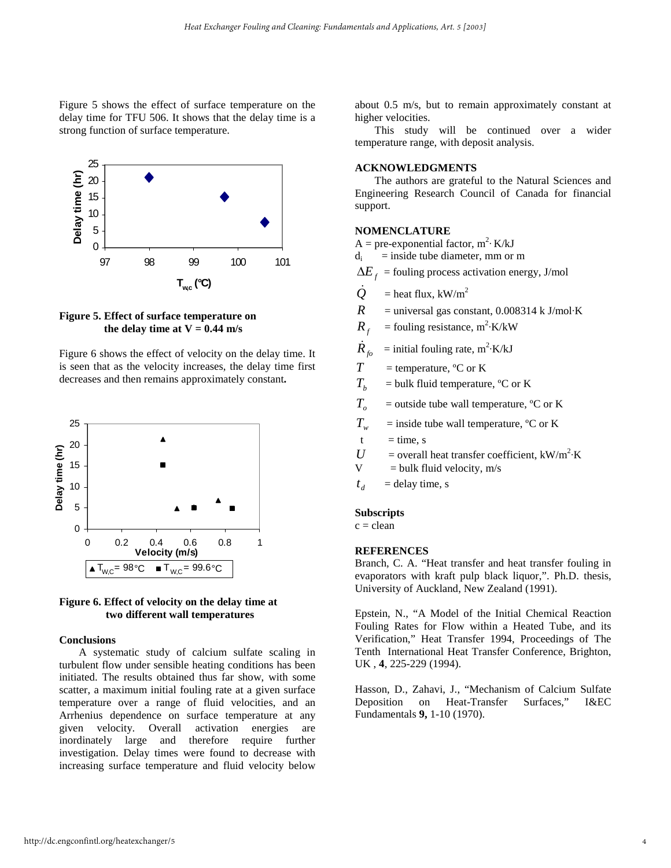Figure 5 shows the effect of surface temperature on the delay time for TFU 506. It shows that the delay time is a strong function of surface temperature.



# **Figure 5. Effect of surface temperature on**  the delay time at  $V = 0.44$  m/s

Figure 6 shows the effect of velocity on the delay time. It is seen that as the velocity increases, the delay time first decreases and then remains approximately constant**.**





## **Conclusions**

A systematic study of calcium sulfate scaling in turbulent flow under sensible heating conditions has been initiated. The results obtained thus far show, with some scatter, a maximum initial fouling rate at a given surface temperature over a range of fluid velocities, and an Arrhenius dependence on surface temperature at any given velocity. Overall activation energies are inordinately large and therefore require further investigation. Delay times were found to decrease with increasing surface temperature and fluid velocity below

about 0.5 m/s, but to remain approximately constant at higher velocities.

This study will be continued over a wider temperature range, with deposit analysis.

# **ACKNOWLEDGMENTS**

The authors are grateful to the Natural Sciences and Engineering Research Council of Canada for financial support.

#### **NOMENCLATURE**

- A = pre-exponential factor,  $m^2$ · K/kJ
- $d_i$  = inside tube diameter, mm or m
- $\Delta E_f$  = fouling process activation energy, J/mol
- $Q =$  heat flux, kW/m<sup>2</sup>
- $R$  = universal gas constant, 0.008314 k J/mol·K
- $R_f$  = fouling resistance, m<sup>2</sup>·K/kW
- $\dot{R}_{fo}$  = initial fouling rate, m<sup>2</sup>·K/kJ
- $T =$  temperature,  ${}^{\circ}C$  or K
- $T_b$  = bulk fluid temperature, <sup>o</sup>C or K
- $T<sub>o</sub>$  = outside tube wall temperature,  $\rm{^{\circ}C}$  or K
- $T_w$  = inside tube wall temperature, °C or K
- $t = time, s$
- $U =$  overall heat transfer coefficient, kW/m<sup>2</sup>·K
- $V = bulk fluid velocity, m/s$
- $t_d$  = delay time, s

#### **Subscripts**

 $c = clean$ 

## **REFERENCES**

Branch, C. A. "Heat transfer and heat transfer fouling in evaporators with kraft pulp black liquor,". Ph.D. thesis, University of Auckland, New Zealand (1991).

Epstein, N., "A Model of the Initial Chemical Reaction Fouling Rates for Flow within a Heated Tube, and its Verification," Heat Transfer 1994, Proceedings of The Tenth International Heat Transfer Conference, Brighton, UK , **4**, 225-229 (1994).

Hasson, D., Zahavi, J., "Mechanism of Calcium Sulfate Deposition on Heat-Transfer Surfaces," I&EC Fundamentals **9,** 1-10 (1970).